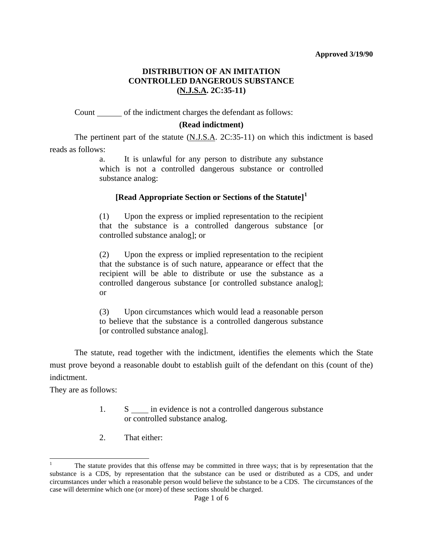# **DISTRIBUTION OF AN IMITATION CONTROLLED DANGEROUS SUBSTANCE (N.J.S.A. 2C:35-11)**

Count of the indictment charges the defendant as follows:

## **(Read indictment)**

 The pertinent part of the statute (N.J.S.A. 2C:35-11) on which this indictment is based reads as follows:

> a. It is unlawful for any person to distribute any substance which is not a controlled dangerous substance or controlled substance analog:

## **[Read Appropriate Section or Sections of the Statute][1](#page-5-0)**

 (1) Upon the express or implied representation to the recipient that the substance is a controlled dangerous substance [or controlled substance analog]; or

 (2) Upon the express or implied representation to the recipient that the substance is of such nature, appearance or effect that the recipient will be able to distribute or use the substance as a controlled dangerous substance [or controlled substance analog]; or

(3) Upon circumstances which would lead a reasonable person to believe that the substance is a controlled dangerous substance [or controlled substance analog].

 The statute, read together with the indictment, identifies the elements which the State must prove beyond a reasonable doubt to establish guilt of the defendant on this (count of the) indictment.

They are as follows:

<span id="page-0-0"></span>l

- 1.  $S \_$  in evidence is not a controlled dangerous substance or controlled substance analog.
- 2. That either:

<sup>1</sup> The statute provides that this offense may be committed in three ways; that is by representation that the substance is a CDS, by representation that the substance can be used or distributed as a CDS, and under circumstances under which a reasonable person would believe the substance to be a CDS. The circumstances of the case will determine which one (or more) of these sections should be charged.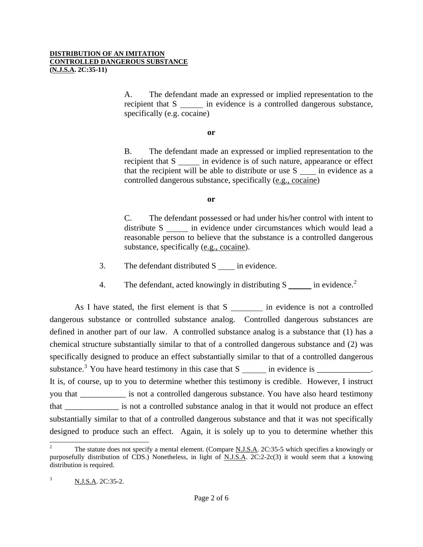#### **DISTRIBUTION OF AN IMITATION CONTROLLED DANGEROUS SUBSTANCE (N.J.S.A. 2C:35-11)**

 A. The defendant made an expressed or implied representation to the recipient that S in evidence is a controlled dangerous substance, specifically (e.g. cocaine)

**or** 

 B. The defendant made an expressed or implied representation to the recipient that S in evidence is of such nature, appearance or effect that the recipient will be able to distribute or use  $S$   $\quad$  in evidence as a controlled dangerous substance, specifically (e.g., cocaine)

## **or**

 C. The defendant possessed or had under his/her control with intent to distribute S in evidence under circumstances which would lead a reasonable person to believe that the substance is a controlled dangerous substance, specifically (e.g., cocaine).

- 3. The defendant distributed S in evidence.
- 4. The defendant, acted knowingly in distributing S in evidence.<sup>[2](#page-0-0)</sup>

As I have stated, the first element is that  $S$  in evidence is not a controlled dangerous substance or controlled substance analog. Controlled dangerous substances are defined in another part of our law. A controlled substance analog is a substance that (1) has a chemical structure substantially similar to that of a controlled dangerous substance and (2) was specifically designed to produce an effect substantially similar to that of a controlled dangerous substance.<sup>[3](#page-1-0)</sup> You have heard testimony in this case that  $S \_ \_$  in evidence is  $\_$ It is, of course, up to you to determine whether this testimony is credible. However, I instruct you that \_\_\_\_\_\_\_\_\_\_\_ is not a controlled dangerous substance. You have also heard testimony that \_\_\_\_\_\_\_\_\_\_\_\_\_ is not a controlled substance analog in that it would not produce an effect substantially similar to that of a controlled dangerous substance and that it was not specifically designed to produce such an effect. Again, it is solely up to you to determine whether this

l

<span id="page-1-1"></span><span id="page-1-0"></span><sup>2</sup> The statute does not specify a mental element. (Compare N.J.S.A. 2C:35-5 which specifies a knowingly or purposefully distribution of CDS.) Nonetheless, in light of N.J.S.A. 2C:2-2c(3) it would seem that a knowing distribution is required.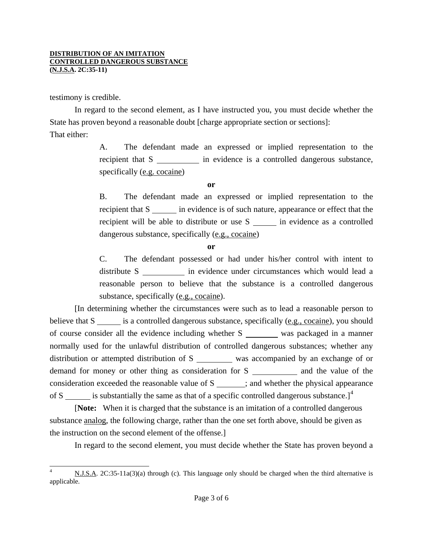testimony is credible.

 In regard to the second element, as I have instructed you, you must decide whether the State has proven beyond a reasonable doubt [charge appropriate section or sections]: That either:

> A. The defendant made an expressed or implied representation to the recipient that S in evidence is a controlled dangerous substance, specifically (e.g. cocaine)

> > **or**

 B. The defendant made an expressed or implied representation to the recipient that S in evidence is of such nature, appearance or effect that the recipient will be able to distribute or use S in evidence as a controlled dangerous substance, specifically (e.g., cocaine)

**or** 

 C. The defendant possessed or had under his/her control with intent to distribute S in evidence under circumstances which would lead a reasonable person to believe that the substance is a controlled dangerous substance, specifically (e.g., cocaine).

 [In determining whether the circumstances were such as to lead a reasonable person to believe that  $S \_\_\_\$ is a controlled dangerous substance, specifically (e.g., cocaine), you should of course consider all the evidence including whether S was packaged in a manner normally used for the unlawful distribution of controlled dangerous substances; whether any distribution or attempted distribution of S was accompanied by an exchange of or demand for money or other thing as consideration for S \_\_\_\_\_\_\_\_\_\_\_\_ and the value of the consideration exceeded the reasonable value of  $S$   $\qquad \qquad$  ; and whether the physical appearance of S is substantially the same as that of a specific controlled dangerous substance.]<sup>[4](#page-1-1)</sup>

 [**Note:** When it is charged that the substance is an imitation of a controlled dangerous substance analog, the following charge, rather than the one set forth above, should be given as the instruction on the second element of the offense.]

In regard to the second element, you must decide whether the State has proven beyond a

<span id="page-2-0"></span>l N.J.S.A. 2C:35-11a(3)(a) through (c). This language only should be charged when the third alternative is applicable.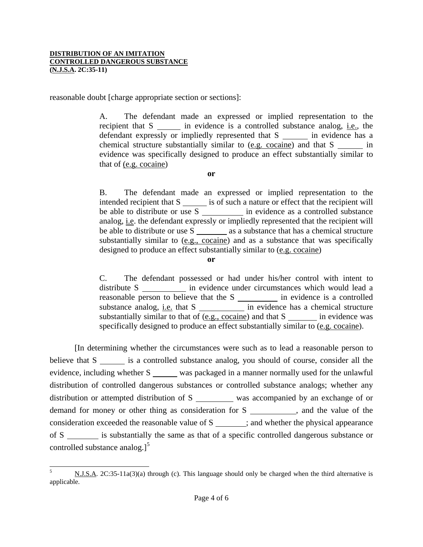reasonable doubt [charge appropriate section or sections]:

 A. The defendant made an expressed or implied representation to the recipient that S in evidence is a controlled substance analog, i.e., the defendant expressly or impliedly represented that S in evidence has a chemical structure substantially similar to (e.g. cocaine) and that S in evidence was specifically designed to produce an effect substantially similar to that of (e.g. cocaine)

**or** 

 B. The defendant made an expressed or implied representation to the intended recipient that S is of such a nature or effect that the recipient will be able to distribute or use S in evidence as a controlled substance analog, i.e. the defendant expressly or impliedly represented that the recipient will be able to distribute or use S as a substance that has a chemical structure substantially similar to (e.g., cocaine) and as a substance that was specifically designed to produce an effect substantially similar to (e.g. cocaine)

**or** 

 C. The defendant possessed or had under his/her control with intent to distribute S \_\_\_\_\_\_\_\_\_\_ in evidence under circumstances which would lead a reasonable person to believe that the S in evidence is a controlled substance analog, <u>i.e.</u> that S in evidence has a chemical structure substantially similar to that of  $(e.g., cocaine)$  and that S in evidence was specifically designed to produce an effect substantially similar to (e.g. cocaine).

 [In determining whether the circumstances were such as to lead a reasonable person to believe that S is a controlled substance analog, you should of course, consider all the evidence, including whether S was packaged in a manner normally used for the unlawful distribution of controlled dangerous substances or controlled substance analogs; whether any distribution or attempted distribution of  $S$  was accompanied by an exchange of or demand for money or other thing as consideration for S \_\_\_\_\_\_\_\_\_, and the value of the consideration exceeded the reasonable value of  $S$   $\qquad \qquad$  ; and whether the physical appearance of S \_\_\_\_\_\_\_\_ is substantially the same as that of a specific controlled dangerous substance or controlled substance analog.] $<sup>5</sup>$  $<sup>5</sup>$  $<sup>5</sup>$ </sup>

<span id="page-3-0"></span> $5^{\circ}$ N.J.S.A. 2C:35-11a(3)(a) through (c). This language should only be charged when the third alternative is applicable.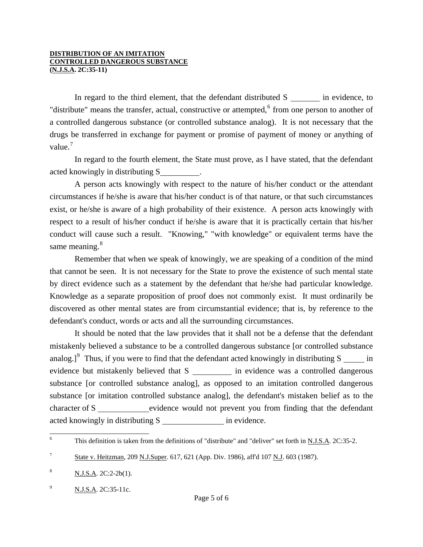### **DISTRIBUTION OF AN IMITATION CONTROLLED DANGEROUS SUBSTANCE (N.J.S.A. 2C:35-11)**

In regard to the third element, that the defendant distributed  $S$  in evidence, to "distribute" means the transfer, actual, constructive or attempted,<sup>[6](#page-3-0)</sup> from one person to another of a controlled dangerous substance (or controlled substance analog). It is not necessary that the drugs be transferred in exchange for payment or promise of payment of money or anything of value. $<sup>7</sup>$  $<sup>7</sup>$  $<sup>7</sup>$ </sup>

 In regard to the fourth element, the State must prove, as I have stated, that the defendant acted knowingly in distributing S .

 A person acts knowingly with respect to the nature of his/her conduct or the attendant circumstances if he/she is aware that his/her conduct is of that nature, or that such circumstances exist, or he/she is aware of a high probability of their existence. A person acts knowingly with respect to a result of his/her conduct if he/she is aware that it is practically certain that his/her conduct will cause such a result. "Knowing," "with knowledge" or equivalent terms have the same meaning. $8<sup>8</sup>$  $8<sup>8</sup>$ 

 Remember that when we speak of knowingly, we are speaking of a condition of the mind that cannot be seen. It is not necessary for the State to prove the existence of such mental state by direct evidence such as a statement by the defendant that he/she had particular knowledge. Knowledge as a separate proposition of proof does not commonly exist. It must ordinarily be discovered as other mental states are from circumstantial evidence; that is, by reference to the defendant's conduct, words or acts and all the surrounding circumstances.

 It should be noted that the law provides that it shall not be a defense that the defendant mistakenly believed a substance to be a controlled dangerous substance [or controlled substance analog.]<sup>[9](#page-4-2)</sup> Thus, if you were to find that the defendant acted knowingly in distributing  $S \_ \_ \_ \$  in evidence but mistakenly believed that S in evidence was a controlled dangerous substance [or controlled substance analog], as opposed to an imitation controlled dangerous substance [or imitation controlled substance analog], the defendant's mistaken belief as to the character of S evidence would not prevent you from finding that the defendant acted knowingly in distributing S in evidence.

 6 This definition is taken from the definitions of "distribute" and "deliver" set forth in N.J.S.A. 2C:35-2.

<span id="page-4-0"></span><sup>7</sup> State v. Heitzman, 209 N.J.Super. 617, 621 (App. Div. 1986), aff'd 107 N.J. 603 (1987).

<span id="page-4-1"></span> $\frac{8}{100}$  N.J.S.A. 2C:2-2b(1).

<span id="page-4-2"></span> $^{9}$  N.J.S.A. 2C:35-11c.